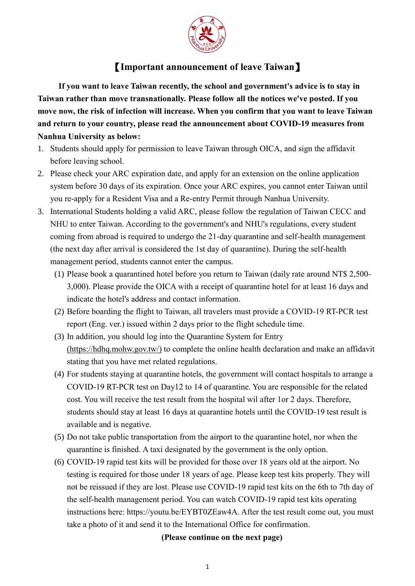

## 【**Important announcement of leave Taiwan**】

 **If you want to leave Taiwan recently, the school and government's advice is to stay in Taiwan rather than move transnationally. Please follow all the notices we've posted. If you move now, the risk of infection will increase. When you confirm that you want to leave Taiwan and return to your country, please read the announcement about COVID-19 measures from Nanhua University as below:**

- 1. Students should apply for permission to leave Taiwan through OICA, and sign the affidavit before leaving school.
- 2. Please check your ARC expiration date, and apply for an extension on the online application system before 30 days of its expiration. Once your ARC expires, you cannot enter Taiwan until you re-apply for a Resident Visa and a Re-entry Permit through Nanhua University.
- 3. International Students holding a valid ARC, please follow the regulation of Taiwan CECC and NHU to enter Taiwan. According to the government's and NHU's regulations, every student coming from abroad is required to undergo the 21-day quarantine and self-health management (the next day after arrival is considered the 1st day of quarantine). During the self-health management period, students cannot enter the campus.
	- (1) Please book a quarantined hotel before you return to Taiwan (daily rate around NT\$ 2,500- 3,000). Please provide the OICA with a receipt of quarantine hotel for at least 16 days and indicate the hotel's address and contact information.
	- (2) Before boarding the flight to Taiwan, all travelers must provide a COVID-19 RT-PCR test report (Eng. ver.) issued within 2 days prior to the flight schedule time.
	- (3) In addition, you should log into the Quarantine System for Entry (https://hdhq.mohw.gov.tw/) to complete the online health declaration and make an affidavit stating that you have met related regulations.
	- (4) For students staying at quarantine hotels, the government will contact hospitals to arrange a COVID-19 RT-PCR test on Day12 to 14 of quarantine. You are responsible for the related cost. You will receive the test result from the hospital wil after 1or 2 days. Therefore, students should stay at least 16 days at quarantine hotels until the COVID-19 test result is available and is negative.
	- (5) Do not take public transportation from the airport to the quarantine hotel, nor when the quarantine is finished. A taxi designated by the government is the only option.
	- (6) COVID-19 rapid test kits will be provided for those over 18 years old at the airport. No testing is required for those under 18 years of age. Please keep test kits properly. They will not be reissued if they are lost. Please use COVID-19 rapid test kits on the 6th to 7th day of the self-health management period. You can watch COVID-19 rapid test kits operating instructions here: https://youtu.be/EYBT0ZEaw4A. After the test result come out, you must take a photo of it and send it to the International Office for confirmation.

## **(Please continue on the next page)**